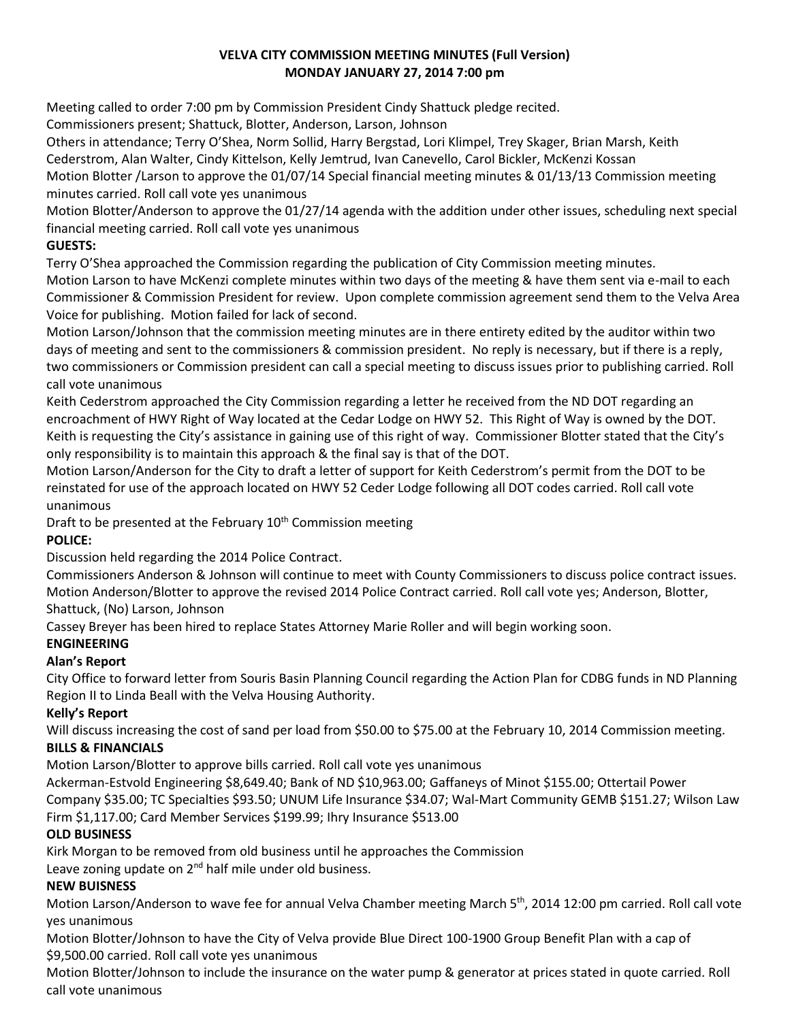## **VELVA CITY COMMISSION MEETING MINUTES (Full Version) MONDAY JANUARY 27, 2014 7:00 pm**

Meeting called to order 7:00 pm by Commission President Cindy Shattuck pledge recited.

Commissioners present; Shattuck, Blotter, Anderson, Larson, Johnson

Others in attendance; Terry O'Shea, Norm Sollid, Harry Bergstad, Lori Klimpel, Trey Skager, Brian Marsh, Keith

Cederstrom, Alan Walter, Cindy Kittelson, Kelly Jemtrud, Ivan Canevello, Carol Bickler, McKenzi Kossan

Motion Blotter /Larson to approve the 01/07/14 Special financial meeting minutes & 01/13/13 Commission meeting minutes carried. Roll call vote yes unanimous

Motion Blotter/Anderson to approve the 01/27/14 agenda with the addition under other issues, scheduling next special financial meeting carried. Roll call vote yes unanimous

## **GUESTS:**

Terry O'Shea approached the Commission regarding the publication of City Commission meeting minutes.

Motion Larson to have McKenzi complete minutes within two days of the meeting & have them sent via e-mail to each Commissioner & Commission President for review. Upon complete commission agreement send them to the Velva Area Voice for publishing. Motion failed for lack of second.

Motion Larson/Johnson that the commission meeting minutes are in there entirety edited by the auditor within two days of meeting and sent to the commissioners & commission president. No reply is necessary, but if there is a reply, two commissioners or Commission president can call a special meeting to discuss issues prior to publishing carried. Roll call vote unanimous

Keith Cederstrom approached the City Commission regarding a letter he received from the ND DOT regarding an encroachment of HWY Right of Way located at the Cedar Lodge on HWY 52. This Right of Way is owned by the DOT. Keith is requesting the City's assistance in gaining use of this right of way. Commissioner Blotter stated that the City's only responsibility is to maintain this approach & the final say is that of the DOT.

Motion Larson/Anderson for the City to draft a letter of support for Keith Cederstrom's permit from the DOT to be reinstated for use of the approach located on HWY 52 Ceder Lodge following all DOT codes carried. Roll call vote unanimous

Draft to be presented at the February  $10<sup>th</sup>$  Commission meeting

# **POLICE:**

Discussion held regarding the 2014 Police Contract.

Commissioners Anderson & Johnson will continue to meet with County Commissioners to discuss police contract issues. Motion Anderson/Blotter to approve the revised 2014 Police Contract carried. Roll call vote yes; Anderson, Blotter, Shattuck, (No) Larson, Johnson

Cassey Breyer has been hired to replace States Attorney Marie Roller and will begin working soon.

# **ENGINEERING**

# **Alan's Report**

City Office to forward letter from Souris Basin Planning Council regarding the Action Plan for CDBG funds in ND Planning Region II to Linda Beall with the Velva Housing Authority.

## **Kelly's Report**

Will discuss increasing the cost of sand per load from \$50.00 to \$75.00 at the February 10, 2014 Commission meeting. **BILLS & FINANCIALS**

Motion Larson/Blotter to approve bills carried. Roll call vote yes unanimous

Ackerman-Estvold Engineering \$8,649.40; Bank of ND \$10,963.00; Gaffaneys of Minot \$155.00; Ottertail Power Company \$35.00; TC Specialties \$93.50; UNUM Life Insurance \$34.07; Wal-Mart Community GEMB \$151.27; Wilson Law Firm \$1,117.00; Card Member Services \$199.99; Ihry Insurance \$513.00

## **OLD BUSINESS**

Kirk Morgan to be removed from old business until he approaches the Commission

Leave zoning update on  $2^{nd}$  half mile under old business.

# **NEW BUISNESS**

Motion Larson/Anderson to wave fee for annual Velva Chamber meeting March 5<sup>th</sup>, 2014 12:00 pm carried. Roll call vote yes unanimous

Motion Blotter/Johnson to have the City of Velva provide Blue Direct 100-1900 Group Benefit Plan with a cap of \$9,500.00 carried. Roll call vote yes unanimous

Motion Blotter/Johnson to include the insurance on the water pump & generator at prices stated in quote carried. Roll call vote unanimous